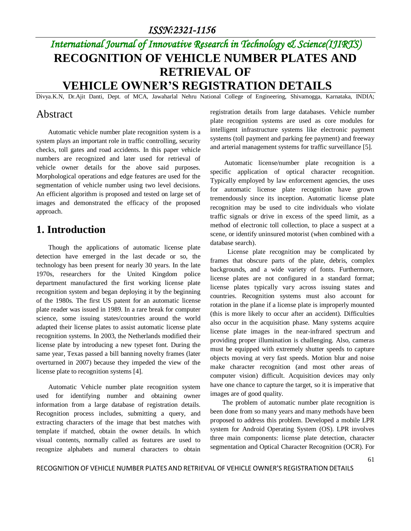### *ISSN:2321-1156*

# *International Journal of Innovative Research in Technology & Science(IJIRTS)* **RECOGNITION OF VEHICLE NUMBER PLATES AND RETRIEVAL OF VEHICLE OWNER'S REGISTRATION DETAILS**

Divya.K.N, Dr.Ajit Danti, Dept. of MCA, Jawaharlal Nehru National College of Engineering, Shivamogga, Karnataka, INDIA;

### Abstract

 Automatic vehicle number plate recognition system is a system plays an important role in traffic controlling, security checks, toll gates and road accidents. In this paper vehicle numbers are recognized and later used for retrieval of vehicle owner details for the above said purposes. Morphological operations and edge features are used for the segmentation of vehicle number using two level decisions. An efficient algorithm is proposed and tested on large set of images and demonstrated the efficacy of the proposed approach.

### **1. Introduction**

Though the applications of automatic license plate detection have emerged in the last decade or so, the technology has been present for nearly 30 years. In the late 1970s, researchers for the United Kingdom police department manufactured the first working license plate recognition system and began deploying it by the beginning of the 1980s. The first US patent for an automatic license plate reader was issued in 1989. In a rare break for computer science, some issuing states/countries around the world adapted their license plates to assist automatic license plate recognition systems. In 2003, the Netherlands modified their license plate by introducing a new typeset font. During the same year, Texas passed a bill banning novelty frames (later overturned in 2007) because they impeded the view of the license plate to recognition systems [4].

Automatic Vehicle number plate recognition system used for identifying number and obtaining owner information from a large database of registration details. Recognition process includes, submitting a query, and extracting characters of the image that best matches with template if matched, obtain the owner details. In which visual contents, normally called as features are used to recognize alphabets and numeral characters to obtain registration details from large databases. Vehicle number plate recognition systems are used as core modules for intelligent infrastructure systems like electronic payment systems (toll payment and parking fee payment) and freeway and arterial management systems for traffic surveillance [5].

Automatic license/number plate recognition is a specific application of optical character recognition. Typically employed by law enforcement agencies, the uses for automatic license plate recognition have grown tremendously since its inception. Automatic license plate recognition may be used to cite individuals who violate traffic signals or drive in excess of the speed limit, as a method of electronic toll collection, to place a suspect at a scene, or identify uninsured motorist (when combined with a database search).

 License plate recognition may be complicated by frames that obscure parts of the plate, debris, complex backgrounds, and a wide variety of fonts. Furthermore, license plates are not configured in a standard format; license plates typically vary across issuing states and countries. Recognition systems must also account for rotation in the plane if a license plate is improperly mounted (this is more likely to occur after an accident). Difficulties also occur in the acquisition phase. Many systems acquire license plate images in the near-infrared spectrum and providing proper illumination is challenging. Also, cameras must be equipped with extremely shutter speeds to capture objects moving at very fast speeds. Motion blur and noise make character recognition (and most other areas of computer vision) difficult. Acquisition devices may only have one chance to capture the target, so it is imperative that images are of good quality.

The problem of automatic number plate recognition is been done from so many years and many methods have been proposed to address this problem. Developed a mobile LPR system for Android Operating System (OS). LPR involves three main components: license plate detection, character segmentation and Optical Character Recognition (OCR). For

RECOGNITION OF VEHICLE NUMBER PLATES AND RETRIEVAL OF VEHICLE OWNER'S REGISTRATION DETAILS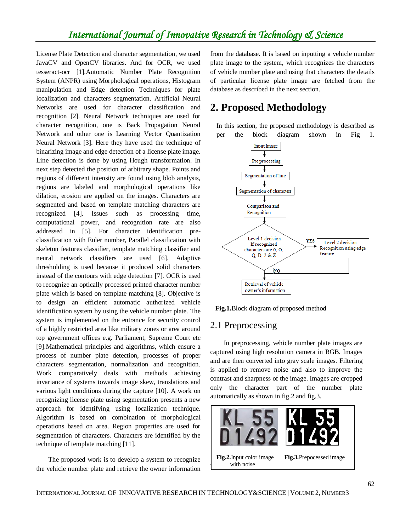## *International Journal of Innovative Research in Technology & Science*

License Plate Detection and character segmentation, we used JavaCV and OpenCV libraries. And for OCR, we used tesseract-ocr [1].Automatic Number Plate Recognition System (ANPR) using Morphological operations, Histogram manipulation and Edge detection Techniques for plate localization and characters segmentation. Artificial Neural Networks are used for character classification and recognition [2]. Neural Network techniques are used for character recognition, one is Back Propagation Neural Network and other one is Learning Vector Quantization Neural Network [3]. Here they have used the technique of binarizing image and edge detection of a license plate image. Line detection is done by using Hough transformation. In next step detected the position of arbitrary shape. Points and regions of different intensity are found using blob analysis, regions are labeled and morphological operations like dilation, erosion are applied on the images. Characters are segmented and based on template matching characters are recognized [4]. Issues such as processing time, computational power, and recognition rate are also addressed in [5]. For character identification preclassification with Euler number, Parallel classification with skeleton features classifier, template matching classifier and neural network classifiers are used [6]. Adaptive thresholding is used because it produced solid characters instead of the contours with edge detection [7]. OCR is used to recognize an optically processed printed character number plate which is based on template matching [8]. Objective is to design an efficient automatic authorized vehicle identification system by using the vehicle number plate. The system is implemented on the entrance for security control of a highly restricted area like military zones or area around top government offices e.g. Parliament, Supreme Court etc [9].Mathematical principles and algorithms, which ensure a process of number plate detection, processes of proper characters segmentation, normalization and recognition. Work comparatively deals with methods achieving invariance of systems towards image skew, translations and various light conditions during the capture [10]. A work on recognizing license plate using segmentation presents a new approach for identifying using localization technique. Algorithm is based on combination of morphological operations based on area. Region properties are used for segmentation of characters. Characters are identified by the technique of template matching [11].

The proposed work is to develop a system to recognize the vehicle number plate and retrieve the owner information

from the database. It is based on inputting a vehicle number plate image to the system, which recognizes the characters of vehicle number plate and using that characters the details of particular license plate image are fetched from the database as described in the next section.

### **2. Proposed Methodology**

In this section, the proposed methodology is described as per the block diagram shown in Fig 1.



 **Fig.1.**Block diagram of proposed method

### 2.1 Preprocessing

 In preprocessing, vehicle number plate images are captured using high resolution camera in RGB. Images and are then converted into gray scale images. Filtering is applied to remove noise and also to improve the contrast and sharpness of the image. Images are cropped only the character part of the number plate automatically as shown in fig.2 and fig.3.

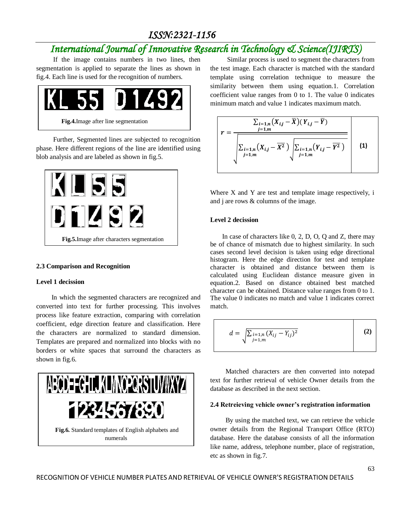## *ISSN:2321-1156*

## *International Journal of Innovative Research in Technology & Science(IJIRTS)*

 If the image contains numbers in two lines, then segmentation is applied to separate the lines as shown in fig.4. Each line is used for the recognition of numbers.



 Further, Segmented lines are subjected to recognition phase. Here different regions of the line are identified using blob analysis and are labeled as shown in fig.5.



#### **2.3 Comparison and Recognition**

#### **Level 1 decission**

 In which the segmented characters are recognized and converted into text for further processing. This involves process like feature extraction, comparing with correlation coefficient, edge direction feature and classification. Here the characters are normalized to standard dimension. Templates are prepared and normalized into blocks with no borders or white spaces that surround the characters as shown in fig.6.



 Similar process is used to segment the characters from the test image. Each character is matched with the standard template using correlation technique to measure the similarity between them using equation.1. Correlation coefficient value ranges from 0 to 1. The value 0 indicates minimum match and value 1 indicates maximum match.

$$
r = \frac{\sum_{i=1,n} (X_{i,j} - \overline{X})(Y_{i,j} - \overline{Y})}{\sqrt{\sum_{i=1,n} (X_{i,j} - \overline{X}^2) \sqrt{\sum_{i=1,n} (Y_{i,j} - \overline{Y}^2) \sqrt{\sum_{j=1,m} (Y_{i,j} - \overline{Y}^2)}}}} \qquad (1)
$$

Where X and Y are test and template image respectively, i and j are rows & columns of the image.

#### **Level 2 decission**

 In case of characters like 0, 2, D, O, Q and Z, there may be of chance of mismatch due to highest similarity. In such cases second level decision is taken using edge directional histogram. Here the edge direction for test and template character is obtained and distance between them is calculated using Euclidean distance measure given in equation.2. Based on distance obtained best matched character can be obtained. Distance value ranges from 0 to 1. The value 0 indicates no match and value 1 indicates correct match.

$$
d = \sqrt{\sum_{j=1,n}^{i=1,n} (X_{ij} - Y_{ij})^2}
$$
 (2)

 Matched characters are then converted into notepad text for further retrieval of vehicle Owner details from the database as described in the next section.

#### **2.4 Retreieving vehicle owner's registration information**

By using the matched text, we can retrieve the vehicle owner details from the Regional Transport Office (RTO) database. Here the database consists of all the information like name, address, telephone number, place of registration, etc as shown in fig.7.

RECOGNITION OF VEHICLE NUMBER PLATES AND RETRIEVAL OF VEHICLE OWNER'S REGISTRATION DETAILS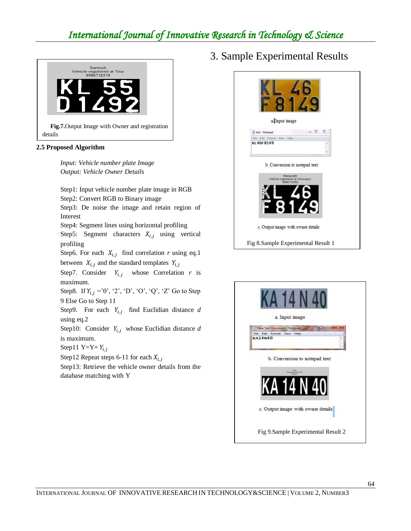# *International Journal of Innovative Research in Technology & Science*



#### **2.5 Proposed Algorithm**

*Input: Vehicle number plate Image Output: Vehicle Owner Details*

Step1: Input vehicle number plate image in RGB Step2: Convert RGB to Binary image

Step3: De noise the image and retain region of Interest

Step4: Segment lines using horizontal profiling

Step5: Segment characters  $X_{i,j}$  using vertical profiling

Step6. For each  $X_{i,j}$  find correlation *r* using eq.1 between  $X_{i,j}$  and the standard templates  $Y_{i,j}$ 

Step7. Consider  $Y_{i,i}$  whose Correlation r is maximum.

Step8. If  $Y_{i,j} = 0'$ , '2', 'D', 'O', 'Q', 'Z' Go to Step 9 Else Go to Step 11

Step9. For each  $Y_{i,i}$  find Euclidian distance *d* using eq.2

Step10: Consider  $Y_{i,i}$  whose Euclidian distance *d* is maximum.

Step11 Y=Y+  $Y_{i,j}$ 

Step12 Repeat steps 6-11 for each  $X_{i,j}$ 

Step13: Retrieve the vehicle owner details from the database matching with Y

3. Sample Experimental Results



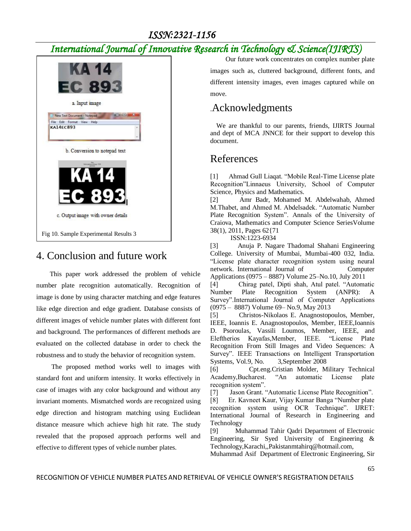## *International Journal of Innovative Research in Technology & Science(IJIRTS)*



### 4. Conclusion and future work

 This paper work addressed the problem of vehicle number plate recognition automatically. Recognition of image is done by using character matching and edge features like edge direction and edge gradient. Database consists of different images of vehicle number plates with different font and background. The performances of different methods are evaluated on the collected database in order to check the robustness and to study the behavior of recognition system.

 The proposed method works well to images with standard font and uniform intensity. It works effectively in case of images with any color background and without any invariant moments. Mismatched words are recognized using edge direction and histogram matching using Euclidean distance measure which achieve high hit rate. The study revealed that the proposed approach performs well and effective to different types of vehicle number plates.

 Our future work concentrates on complex number plate images such as, cluttered background, different fonts, and different intensity images, even images captured while on move.

## .Acknowledgments

We are thankful to our parents, friends, IJIRTS Journal and dept of MCA JNNCE for their support to develop this document.

### References

[1] Ahmad Gull Liaqat. "Mobile Real-Time License plate Recognition"Linnaeus University, School of Computer Science, Physics and Mathematics.

[2] Amr Badr, Mohamed M. Abdelwahab, Ahmed M.Thabet, and Ahmed M. Abdelsadek. "Automatic Number Plate Recognition System". Annals of the University of Craiova, Mathematics and Computer Science SeriesVolume 38(1), 2011, Pages 62{71

ISSN:1223-6934

[3] Anuja P. Nagare Thadomal Shahani Engineering College. University of Mumbai, Mumbai-400 032, India. "License plate character recognition system using neural network. International Journal of Computer Applications (0975 – 8887) Volume 25–No.10, July 2011

[4] Chirag patel, Dipti shah, Atul patel. "Automatic Number Plate Recognition System (ANPR): A Survey".International Journal of Computer Applications (0975 – 8887) Volume 69– No.9, May 2013

[5] Christos-Nikolaos E. Anagnostopoulos, Member, IEEE, Ioannis E. Anagnostopoulos, Member, IEEE,Ioannis D. Psoroulas, Vassili Loumos, Member, IEEE, and Eleftherios Kayafas,Member, IEEE. "License Plate Recognition From Still Images and Video Sequences: A Survey". IEEE Transactions on Intelligent Transportation Systems, Vol.9, No. 3,September 2008

[6] Cpt.eng.Cristian Molder, Military Technical Academy,Bucharest. "An automatic License plate recognition system".

[7] Jason Grant. "Automatic License Plate Recognition". [8] Er. Kavneet Kaur, Vijay Kumar Banga "Number plate recognition system using OCR Technique". IJRET: International Journal of Research in Engineering and Technology

[9] Muhammad Tahir Qadri Department of Electronic Engineering, Sir Syed University of Engineering & Technology,Karachi,,Pakistanmtahirq@hotmail.com,

Muhammad Asif Department of Electronic Engineering, Sir